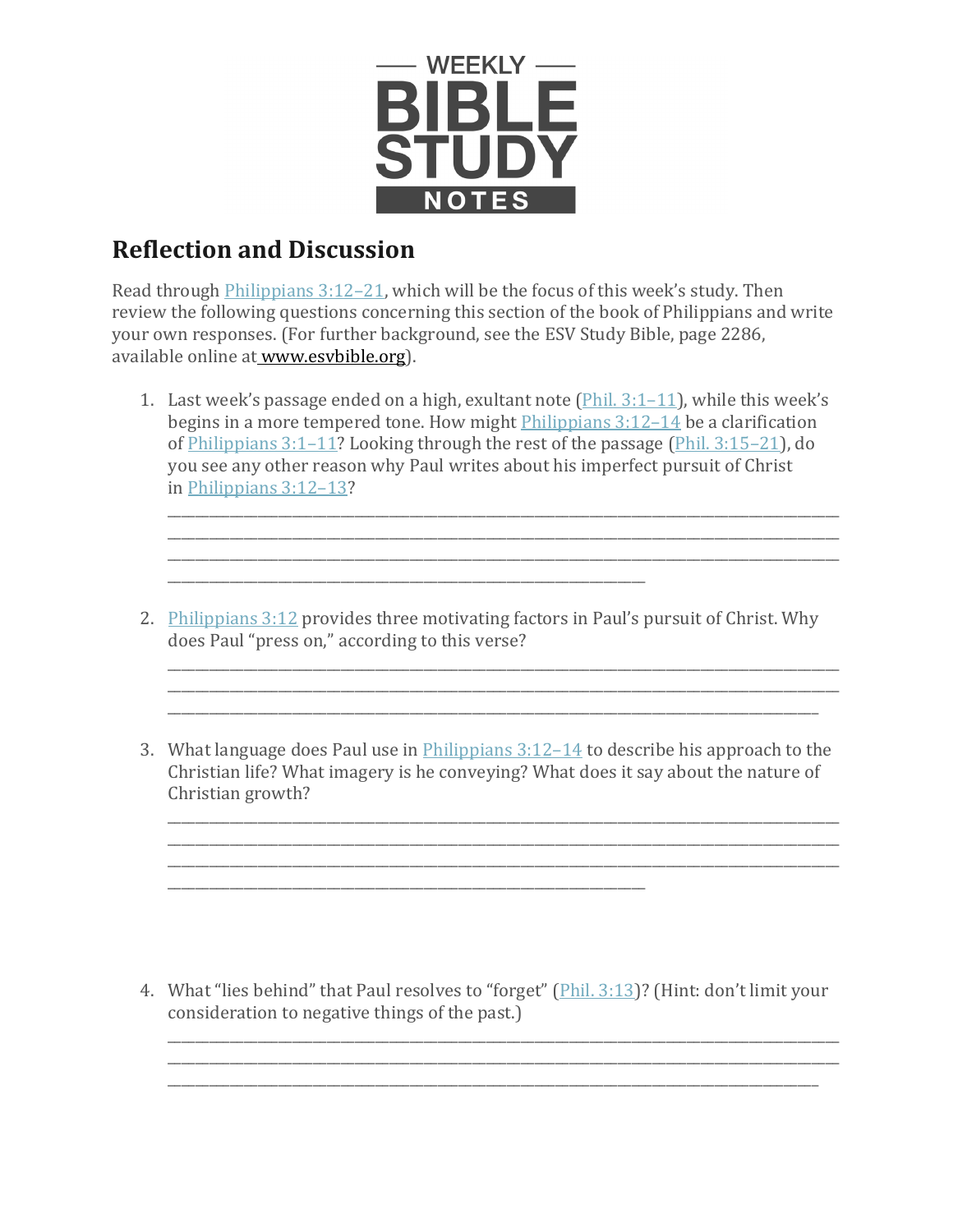

## **Reflection and Discussion**

Read through [Philippians 3:12–21,](https://www.esv.org/Philippians%203%3A12%E2%80%9321/) which will be the focus of this week's study. Then review the following questions concerning this section of the book of Philippians and write your own responses. (For further background, see the ESV Study Bible, page 2286, available online at [www.esvbible.org\)](http://www.esvbible.org/).

1. Last week's passage ended on a high, exultant note  $(Phi. 3:1-11)$ , while this week's begins in a more tempered tone. How might *[Philippians 3:12–14](https://www.esv.org/Philippians%203%3A12%E2%80%9314/)* be a clarification of [Philippians 3:1–11?](https://www.esv.org/Philippians%203%3A1%E2%80%9311/) Looking through the rest of the passage (Phil. [3:15–21\)](https://www.esv.org/Phil.%203%3A15%E2%80%9321/), do you see any other reason why Paul writes about his imperfect pursuit of Christ in [Philippians 3:12–13?](https://www.esv.org/Philippians%203%3A12%E2%80%9313/)

\_\_\_\_\_\_\_\_\_\_\_\_\_\_\_\_\_\_\_\_\_\_\_\_\_\_\_\_\_\_\_\_\_\_\_\_\_\_\_\_\_\_\_\_\_\_\_\_\_\_\_\_\_\_\_\_\_\_\_\_\_\_\_\_\_\_\_\_\_\_\_\_\_\_\_\_\_\_\_\_\_\_\_\_\_\_\_\_\_\_\_\_\_\_\_\_\_ \_\_\_\_\_\_\_\_\_\_\_\_\_\_\_\_\_\_\_\_\_\_\_\_\_\_\_\_\_\_\_\_\_\_\_\_\_\_\_\_\_\_\_\_\_\_\_\_\_\_\_\_\_\_\_\_\_\_\_\_\_\_\_\_\_\_\_\_\_\_\_\_\_\_\_\_\_\_\_\_\_\_\_\_\_\_\_\_\_\_\_\_\_\_\_\_\_

2. [Philippians 3:12](https://www.esv.org/Philippians%203%3A12/) provides three motivating factors in Paul's pursuit of Christ. Why does Paul "press on," according to this verse?

\_\_\_\_\_\_\_\_\_\_\_\_\_\_\_\_\_\_\_\_\_\_\_\_\_\_\_\_\_\_\_\_\_\_\_\_\_\_\_\_\_\_\_\_\_\_\_\_\_\_\_\_\_\_\_\_\_\_\_\_\_\_\_\_\_\_\_\_\_\_\_\_\_\_\_\_\_\_\_\_\_\_\_\_\_\_\_\_\_\_\_\_\_\_\_\_\_

\_\_\_\_\_\_\_\_\_\_\_\_\_\_\_\_\_\_\_\_\_\_\_\_\_\_\_\_\_\_\_\_\_\_\_\_\_\_\_\_\_\_\_\_\_\_\_\_\_\_\_\_\_\_\_\_\_\_\_\_\_\_\_\_\_\_\_\_\_\_\_\_\_\_\_\_\_\_\_\_\_\_\_\_\_\_\_\_\_\_\_\_\_\_\_\_\_ \_\_\_\_\_\_\_\_\_\_\_\_\_\_\_\_\_\_\_\_\_\_\_\_\_\_\_\_\_\_\_\_\_\_\_\_\_\_\_\_\_\_\_\_\_\_\_\_\_\_\_\_\_\_\_\_\_\_\_\_\_\_\_\_\_\_\_\_\_\_\_\_\_\_\_\_\_\_\_\_\_\_\_\_\_\_\_\_\_\_\_\_\_\_

\_\_\_\_\_\_\_\_\_\_\_\_\_\_\_\_\_\_\_\_\_\_\_\_\_\_\_\_\_\_\_\_\_\_\_\_\_\_\_\_\_\_\_\_\_\_\_\_\_\_\_\_\_\_\_\_\_\_\_\_\_\_\_\_\_\_\_\_\_\_\_\_\_\_\_\_\_\_\_\_\_\_\_\_\_\_\_\_\_\_\_\_\_\_\_\_\_ \_\_\_\_\_\_\_\_\_\_\_\_\_\_\_\_\_\_\_\_\_\_\_\_\_\_\_\_\_\_\_\_\_\_\_\_\_\_\_\_\_\_\_\_\_\_\_\_\_\_\_\_\_\_\_\_\_\_\_\_\_\_\_\_\_\_\_\_\_\_\_\_\_\_\_\_\_\_\_\_\_\_\_\_\_\_\_\_\_\_\_\_\_\_\_\_\_ \_\_\_\_\_\_\_\_\_\_\_\_\_\_\_\_\_\_\_\_\_\_\_\_\_\_\_\_\_\_\_\_\_\_\_\_\_\_\_\_\_\_\_\_\_\_\_\_\_\_\_\_\_\_\_\_\_\_\_\_\_\_\_\_\_\_\_\_\_\_\_\_\_\_\_\_\_\_\_\_\_\_\_\_\_\_\_\_\_\_\_\_\_\_\_\_\_

\_\_\_\_\_\_\_\_\_\_\_\_\_\_\_\_\_\_\_\_\_\_\_\_\_\_\_\_\_\_\_\_\_\_\_\_\_\_\_\_\_\_\_\_\_\_\_\_\_\_\_\_\_\_\_\_\_\_\_\_\_\_\_\_\_\_\_\_\_

\_\_\_\_\_\_\_\_\_\_\_\_\_\_\_\_\_\_\_\_\_\_\_\_\_\_\_\_\_\_\_\_\_\_\_\_\_\_\_\_\_\_\_\_\_\_\_\_\_\_\_\_\_\_\_\_\_\_\_\_\_\_\_\_\_\_\_\_\_

3. What language does Paul use in [Philippians 3:12–14](https://www.esv.org/Philippians%203%3A12%E2%80%9314/) to describe his approach to the Christian life? What imagery is he conveying? What does it say about the nature of Christian growth?

4. What "lies behind" that Paul resolves to "forget" (*Phil. 3:13*)? (Hint: don't limit your consideration to negative things of the past.)

\_\_\_\_\_\_\_\_\_\_\_\_\_\_\_\_\_\_\_\_\_\_\_\_\_\_\_\_\_\_\_\_\_\_\_\_\_\_\_\_\_\_\_\_\_\_\_\_\_\_\_\_\_\_\_\_\_\_\_\_\_\_\_\_\_\_\_\_\_\_\_\_\_\_\_\_\_\_\_\_\_\_\_\_\_\_\_\_\_\_\_\_\_\_\_\_\_

\_\_\_\_\_\_\_\_\_\_\_\_\_\_\_\_\_\_\_\_\_\_\_\_\_\_\_\_\_\_\_\_\_\_\_\_\_\_\_\_\_\_\_\_\_\_\_\_\_\_\_\_\_\_\_\_\_\_\_\_\_\_\_\_\_\_\_\_\_\_\_\_\_\_\_\_\_\_\_\_\_\_\_\_\_\_\_\_\_\_\_\_\_\_